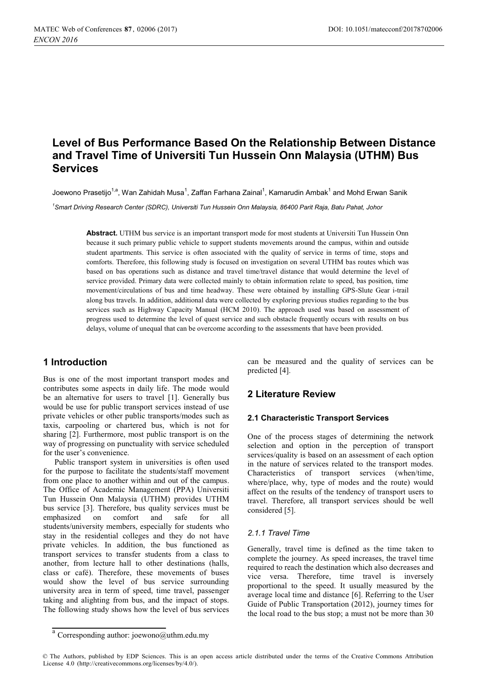# **Level of Bus Performance Based On the Relationship Between Distance and Travel Time of Universiti Tun Hussein Onn Malaysia (UTHM) Bus Services**

Joewono Prasetiio<sup>1,a</sup>. Wan Zahidah Musa<sup>1</sup>. Zaffan Farhana Zainal<sup>1</sup>. Kamarudin Ambak<sup>1</sup> and Mohd Erwan Sanik

*1 Smart Driving Research Center (SDRC), Universiti Tun Hussein Onn Malaysia, 86400 Parit Raja, Batu Pahat, Johor* 

**Abstract.** UTHM bus service is an important transport mode for most students at Universiti Tun Hussein Onn because it such primary public vehicle to support students movements around the campus, within and outside student apartments. This service is often associated with the quality of service in terms of time, stops and comforts. Therefore, this following study is focused on investigation on several UTHM bas routes which was based on bas operations such as distance and travel time/travel distance that would determine the level of service provided. Primary data were collected mainly to obtain information relate to speed, bas position, time movement/circulations of bus and time headway. These were obtained by installing GPS-Slute Gear i-trail along bus travels. In addition, additional data were collected by exploring previous studies regarding to the bus services such as Highway Capacity Manual (HCM 2010). The approach used was based on assessment of progress used to determine the level of quest service and such obstacle frequently occurs with results on bus delays, volume of unequal that can be overcome according to the assessments that have been provided.

# **1 Introduction**

Bus is one of the most important transport modes and contributes some aspects in daily life. The mode would be an alternative for users to travel [1]. Generally bus would be use for public transport services instead of use private vehicles or other public transports/modes such as taxis, carpooling or chartered bus, which is not for sharing [2]. Furthermore, most public transport is on the way of progressing on punctuality with service scheduled for the user's convenience.

Public transport system in universities is often used for the purpose to facilitate the students/staff movement from one place to another within and out of the campus. The Office of Academic Management (PPA) Universiti Tun Hussein Onn Malaysia (UTHM) provides UTHM bus service [3]. Therefore, bus quality services must be emphasized on comfort and safe for all students/university members, especially for students who stay in the residential colleges and they do not have private vehicles. In addition, the bus functioned as transport services to transfer students from a class to another, from lecture hall to other destinations (halls, class or café). Therefore, these movements of buses would show the level of bus service surrounding university area in term of speed, time travel, passenger taking and alighting from bus, and the impact of stops. The following study shows how the level of bus services can be measured and the quality of services can be predicted [4].

# **2 Literature Review**

#### **2.1 Characteristic Transport Services**

One of the process stages of determining the network selection and option in the perception of transport services/quality is based on an assessment of each option in the nature of services related to the transport modes. Characteristics of transport services (when/time, where/place, why, type of modes and the route) would affect on the results of the tendency of transport users to travel. Therefore, all transport services should be well considered [5].

#### *2.1.1 Travel Time*

Generally, travel time is defined as the time taken to complete the journey. As speed increases, the travel time required to reach the destination which also decreases and vice versa. Therefore, time travel is inversely proportional to the speed. It usually measured by the average local time and distance [6]. Referring to the User Guide of Public Transportation (2012), journey times for the local road to the bus stop; a must not be more than 30

<sup>&</sup>lt;sup>a</sup> Corresponding author: joewono@uthm.edu.my

<sup>©</sup> The Authors, published by EDP Sciences. This is an open access article distributed under the terms of the Creative Commons Attribution License 4.0 (http://creativecommons.org/licenses/by/4.0/).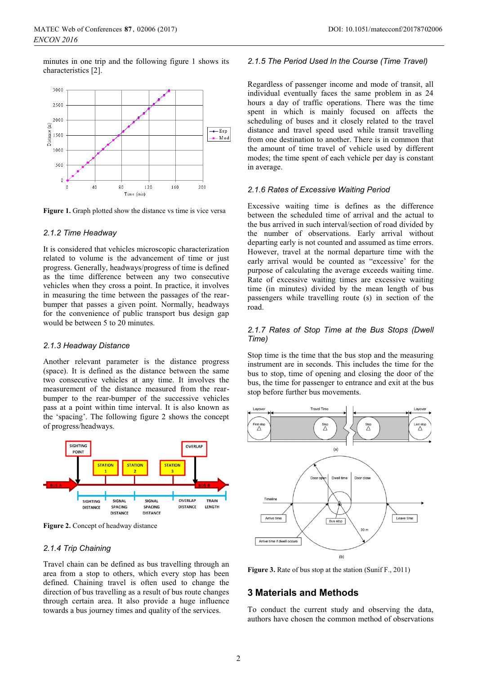minutes in one trip and the following figure 1 shows its characteristics [2].



**Figure 1.** Graph plotted show the distance vs time is vice versa

#### *2.1.2 Time Headway*

It is considered that vehicles microscopic characterization related to volume is the advancement of time or just progress. Generally, headways/progress of time is defined as the time difference between any two consecutive vehicles when they cross a point. In practice, it involves in measuring the time between the passages of the rearbumper that passes a given point. Normally, headways for the convenience of public transport bus design gap would be between 5 to 20 minutes.

#### *2.1.3 Headway Distance*

Another relevant parameter is the distance progress (space). It is defined as the distance between the same two consecutive vehicles at any time. It involves the measurement of the distance measured from the rearbumper to the rear-bumper of the successive vehicles pass at a point within time interval. It is also known as the 'spacing'. The following figure 2 shows the concept of progress/headways.



**Figure 2.** Concept of headway distance

#### *2.1.4 Trip Chaining*

Travel chain can be defined as bus travelling through an area from a stop to others, which every stop has been defined. Chaining travel is often used to change the direction of bus travelling as a result of bus route changes through certain area. It also provide a huge influence towards a bus journey times and quality of the services.

#### *2.1.5 The Period Used In the Course (Time Travel)*

Regardless of passenger income and mode of transit, all individual eventually faces the same problem in as 24 hours a day of traffic operations. There was the time spent in which is mainly focused on affects the scheduling of buses and it closely related to the travel distance and travel speed used while transit travelling from one destination to another. There is in common that the amount of time travel of vehicle used by different modes; the time spent of each vehicle per day is constant in average.

#### *2.1.6 Rates of Excessive Waiting Period*

Excessive waiting time is defines as the difference between the scheduled time of arrival and the actual to the bus arrived in such interval/section of road divided by the number of observations. Early arrival without departing early is not counted and assumed as time errors. However, travel at the normal departure time with the early arrival would be counted as "excessive' for the purpose of calculating the average exceeds waiting time. Rate of excessive waiting times are excessive waiting time (in minutes) divided by the mean length of bus passengers while travelling route (s) in section of the road.

#### *2.1.7 Rates of Stop Time at the Bus Stops (Dwell Time)*

Stop time is the time that the bus stop and the measuring instrument are in seconds. This includes the time for the bus to stop, time of opening and closing the door of the bus, the time for passenger to entrance and exit at the bus stop before further bus movements.



**Figure 3.** Rate of bus stop at the station (Sunif F., 2011)

### **3 Materials and Methods**

To conduct the current study and observing the data, authors have chosen the common method of observations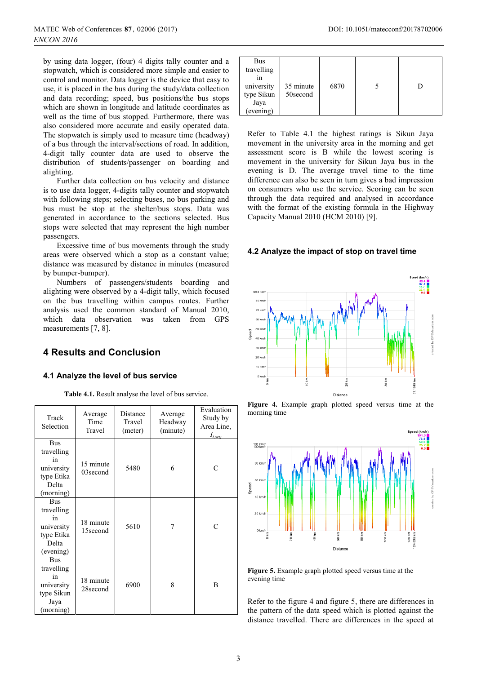by using data logger, (four) 4 digits tally counter and a stopwatch, which is considered more simple and easier to control and monitor. Data logger is the device that easy to use, it is placed in the bus during the study/data collection and data recording; speed, bus positions/the bus stops which are shown in longitude and latitude coordinates as well as the time of bus stopped. Furthermore, there was also considered more accurate and easily operated data. The stopwatch is simply used to measure time (headway) of a bus through the interval/sections of road. In addition, 4-digit tally counter data are used to observe the distribution of students/passenger on boarding and alighting.

 Further data collection on bus velocity and distance is to use data logger, 4-digits tally counter and stopwatch with following steps; selecting buses, no bus parking and bus must be stop at the shelter/bus stops. Data was generated in accordance to the sections selected. Bus stops were selected that may represent the high number passengers.

 Excessive time of bus movements through the study areas were observed which a stop as a constant value; distance was measured by distance in minutes (measured by bumper-bumper).

 Numbers of passengers/students boarding and alighting were observed by a 4-digit tally, which focused on the bus travelling within campus routes. Further analysis used the common standard of Manual 2010, which data observation was taken from GPS measurements [7, 8].

# **4 Results and Conclusion**

## **4.1 Analyze the level of bus service**

**Table 4.1.** Result analyse the level of bus service.

| Track<br>Selection                                                               | Average<br>Time<br>Travel | Distance<br>Travel<br>(meter) | Average<br>Headway<br>(minute) | Evaluation<br>Study by<br>Area Line,<br>$I_{t,seg}$ |
|----------------------------------------------------------------------------------|---------------------------|-------------------------------|--------------------------------|-----------------------------------------------------|
| <b>Bus</b><br>travelling<br>in<br>university<br>type Etika<br>Delta<br>(morning) | 15 minute<br>03second     | 5480                          | 6                              | C                                                   |
| <b>Bus</b><br>travelling<br>in<br>university<br>type Etika<br>Delta<br>(evening) | 18 minute<br>15second     | 5610                          | 7                              | C                                                   |
| <b>Bus</b><br>travelling<br>in<br>university<br>type Sikun<br>Jaya<br>(morning)  | 18 minute<br>28second     | 6900                          | 8                              | B                                                   |

| Bus<br>travelling<br>1n<br>university<br>type Sikun | 35 minute<br>50second | 6870 | D |
|-----------------------------------------------------|-----------------------|------|---|
| Jaya                                                |                       |      |   |
| (evening)                                           |                       |      |   |

Refer to Table 4.1 the highest ratings is Sikun Jaya movement in the university area in the morning and get assessment score is B while the lowest scoring is movement in the university for Sikun Jaya bus in the evening is D. The average travel time to the time difference can also be seen in turn gives a bad impression on consumers who use the service. Scoring can be seen through the data required and analysed in accordance with the format of the existing formula in the Highway Capacity Manual 2010 (HCM 2010) [9].

### **4.2 Analyze the impact of stop on travel time**







**Figure 5.** Example graph plotted speed versus time at the evening time

Refer to the figure 4 and figure 5, there are differences in the pattern of the data speed which is plotted against the distance travelled. There are differences in the speed at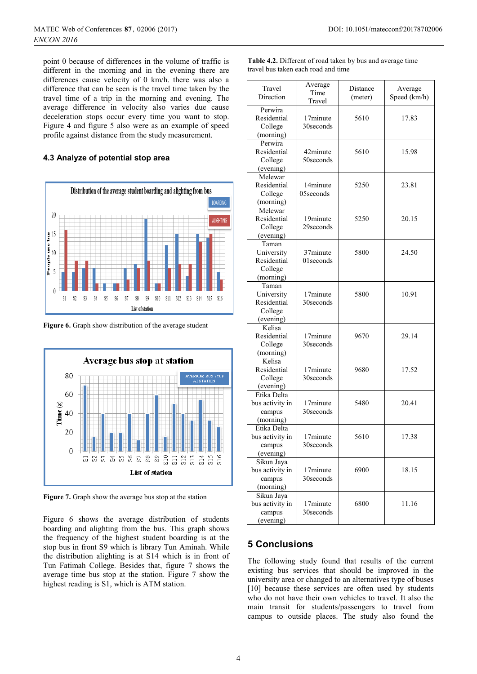point 0 because of differences in the volume of traffic is different in the morning and in the evening there are differences cause velocity of 0 km/h. there was also a difference that can be seen is the travel time taken by the travel time of a trip in the morning and evening. The average difference in velocity also varies due cause deceleration stops occur every time you want to stop. Figure 4 and figure 5 also were as an example of speed profile against distance from the study measurement.

### **4.3 Analyze of potential stop area**



**Figure 6.** Graph show distribution of the average student



**Figure 7.** Graph show the average bus stop at the station

Figure 6 shows the average distribution of students boarding and alighting from the bus. This graph shows the frequency of the highest student boarding is at the stop bus in front S9 which is library Tun Aminah. While the distribution alighting is at S14 which is in front of Tun Fatimah College. Besides that, figure 7 shows the average time bus stop at the station. Figure 7 show the highest reading is S1, which is ATM station.

| <b>Table 4.2.</b> Different of road taken by bus and average time |  |
|-------------------------------------------------------------------|--|
| travel bus taken each road and time                               |  |

| Travel<br>Direction                                        | Average<br>Time<br>Travel | Distance<br>(meter) | Average<br>Speed (km/h) |
|------------------------------------------------------------|---------------------------|---------------------|-------------------------|
| Perwira<br>Residential<br>College<br>(morning)             | 17minute<br>30 seconds    | 5610                | 17.83                   |
| Perwira<br>Residential<br>College<br>(evening)             | 42minute<br>50 seconds    | 5610                | 15.98                   |
| Melewar<br>Residential<br>College<br>(morning)             | 14minute<br>05seconds     | 5250                | 23.81                   |
| Melewar<br>Residential<br>College<br>(evening)             | 19minute<br>29 seconds    | 5250                | 20.15                   |
| Taman<br>University<br>Residential<br>College<br>(morning) | 37minute<br>01 seconds    | 5800                | 24.50                   |
| Taman<br>University<br>Residential<br>College<br>(evening) | 17minute<br>30 seconds    | 5800                | 10.91                   |
| Kelisa<br>Residential<br>College<br>(morning)              | 17minute<br>30 seconds    | 9670                | 29.14                   |
| Kelisa<br>Residential<br>College<br>(evening)              | 17minute<br>30 seconds    | 9680                | 17.52                   |
| Etika Delta<br>bus activity in<br>campus<br>(morning)      | 17minute<br>30 seconds    | 5480                | 20.41                   |
| Etika Delta<br>bus activity in<br>campus<br>(evening)      | 17minute<br>30seconds     | 5610                | 17.38                   |
| Sikun Jaya<br>bus activity in<br>campus<br>(morning)       | 17minute<br>30 seconds    | 6900                | 18.15                   |
| Sikun Jaya<br>bus activity in<br>campus<br>(evening)       | 17minute<br>30 seconds    | 6800                | 11.16                   |

# **5 Conclusions**

The following study found that results of the current existing bus services that should be improved in the university area or changed to an alternatives type of buses [10] because these services are often used by students who do not have their own vehicles to travel. It also the main transit for students/passengers to travel from campus to outside places. The study also found the